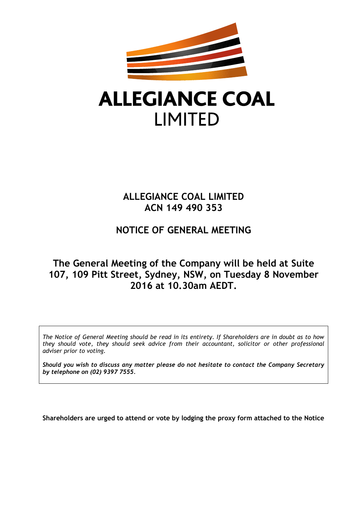

# **ALLEGIANCE COAL LIMITED**

# **ALLEGIANCE COAL LIMITED ACN 149 490 353**

# **NOTICE OF GENERAL MEETING**

# **The General Meeting of the Company will be held at Suite 107, 109 Pitt Street, Sydney, NSW, on Tuesday 8 November 2016 at 10.30am AEDT.**

*The Notice of General Meeting should be read in its entirety. If Shareholders are in doubt as to how they should vote, they should seek advice from their accountant, solicitor or other professional adviser prior to voting.*

*Should you wish to discuss any matter please do not hesitate to contact the Company Secretary by telephone on (02) 9397 7555.*

**Shareholders are urged to attend or vote by lodging the proxy form attached to the Notice**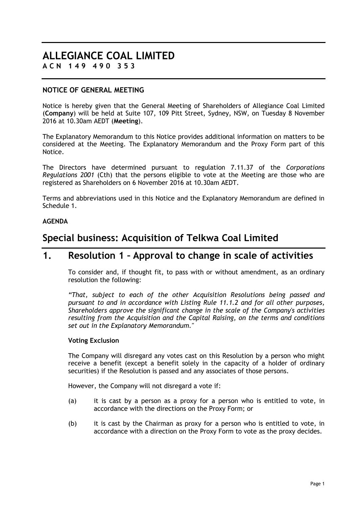# **ALLEGIANCE COAL LIMITED A C N 1 4 9 4 9 0 3 5 3**

### **NOTICE OF GENERAL MEETING**

Notice is hereby given that the General Meeting of Shareholders of Allegiance Coal Limited (**Company**) will be held at Suite 107, 109 Pitt Street, Sydney, NSW, on Tuesday 8 November 2016 at 10.30am AEDT (**Meeting**).

The Explanatory Memorandum to this Notice provides additional information on matters to be considered at the Meeting. The Explanatory Memorandum and the Proxy Form part of this Notice.

The Directors have determined pursuant to regulation 7.11.37 of the *Corporations Regulations 2001* (Cth) that the persons eligible to vote at the Meeting are those who are registered as Shareholders on 6 November 2016 at 10.30am AEDT.

Terms and abbreviations used in this Notice and the Explanatory Memorandum are defined in [Schedule](#page-30-0) 1.

#### **AGENDA**

# **Special business: Acquisition of Telkwa Coal Limited**

# **1. Resolution 1 – Approval to change in scale of activities**

To consider and, if thought fit, to pass with or without amendment, as an ordinary resolution the following:

*"That, subject to each of the other Acquisition Resolutions being passed and pursuant to and in accordance with Listing Rule 11.1.2 and for all other purposes, Shareholders approve the significant change in the scale of the Company's activities resulting from the Acquisition and the Capital Raising, on the terms and conditions set out in the Explanatory Memorandum."*

#### **Voting Exclusion**

The Company will disregard any votes cast on this Resolution by a person who might receive a benefit (except a benefit solely in the capacity of a holder of ordinary securities) if the Resolution is passed and any associates of those persons.

However, the Company will not disregard a vote if:

- (a) it is cast by a person as a proxy for a person who is entitled to vote, in accordance with the directions on the Proxy Form; or
- (b) it is cast by the Chairman as proxy for a person who is entitled to vote, in accordance with a direction on the Proxy Form to vote as the proxy decides.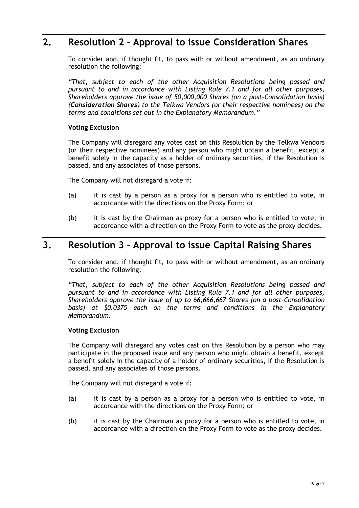# **2. Resolution 2 – Approval to issue Consideration Shares**

To consider and, if thought fit, to pass with or without amendment, as an ordinary resolution the following:

*"That, subject to each of the other Acquisition Resolutions being passed and pursuant to and in accordance with Listing Rule 7.1 and for all other purposes, Shareholders approve the issue of 50,000,000 Shares (on a post-Consolidation basis) (Consideration Shares) to the Telkwa Vendors (or their respective nominees) on the terms and conditions set out in the Explanatory Memorandum."*

#### **Voting Exclusion**

The Company will disregard any votes cast on this Resolution by the Telkwa Vendors (or their respective nominees) and any person who might obtain a benefit, except a benefit solely in the capacity as a holder of ordinary securities, if the Resolution is passed, and any associates of those persons.

The Company will not disregard a vote if:

- (a) it is cast by a person as a proxy for a person who is entitled to vote, in accordance with the directions on the Proxy Form; or
- (b) it is cast by the Chairman as proxy for a person who is entitled to vote, in accordance with a direction on the Proxy Form to vote as the proxy decides.

# **3. Resolution 3 – Approval to issue Capital Raising Shares**

To consider and, if thought fit, to pass with or without amendment, as an ordinary resolution the following:

*"That, subject to each of the other Acquisition Resolutions being passed and pursuant to and in accordance with Listing Rule 7.1 and for all other purposes, Shareholders approve the issue of up to 66,666,667 Shares (on a post-Consolidation basis) at \$0.0375 each on the terms and conditions in the Explanatory Memorandum."*

#### **Voting Exclusion**

The Company will disregard any votes cast on this Resolution by a person who may participate in the proposed issue and any person who might obtain a benefit, except a benefit solely in the capacity of a holder of ordinary securities, if the Resolution is passed, and any associates of those persons.

The Company will not disregard a vote if:

- (a) it is cast by a person as a proxy for a person who is entitled to vote, in accordance with the directions on the Proxy Form; or
- (b) it is cast by the Chairman as proxy for a person who is entitled to vote, in accordance with a direction on the Proxy Form to vote as the proxy decides.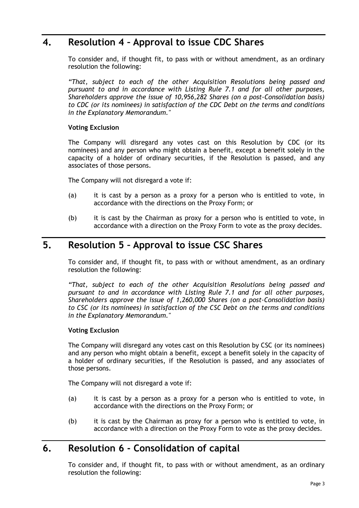# **4. Resolution 4 – Approval to issue CDC Shares**

To consider and, if thought fit, to pass with or without amendment, as an ordinary resolution the following:

*"That, subject to each of the other Acquisition Resolutions being passed and pursuant to and in accordance with Listing Rule 7.1 and for all other purposes, Shareholders approve the issue of 10,956,282 Shares (on a post-Consolidation basis) to CDC (or its nominees) in satisfaction of the CDC Debt on the terms and conditions in the Explanatory Memorandum."* 

#### **Voting Exclusion**

The Company will disregard any votes cast on this Resolution by CDC (or its nominees) and any person who might obtain a benefit, except a benefit solely in the capacity of a holder of ordinary securities, if the Resolution is passed, and any associates of those persons.

The Company will not disregard a vote if:

- (a) it is cast by a person as a proxy for a person who is entitled to vote, in accordance with the directions on the Proxy Form; or
- (b) it is cast by the Chairman as proxy for a person who is entitled to vote, in accordance with a direction on the Proxy Form to vote as the proxy decides.

# **5. Resolution 5 – Approval to issue CSC Shares**

To consider and, if thought fit, to pass with or without amendment, as an ordinary resolution the following:

*"That, subject to each of the other Acquisition Resolutions being passed and pursuant to and in accordance with Listing Rule 7.1 and for all other purposes, Shareholders approve the issue of 1,260,000 Shares (on a post-Consolidation basis) to CSC (or its nominees) in satisfaction of the CSC Debt on the terms and conditions in the Explanatory Memorandum."* 

### **Voting Exclusion**

The Company will disregard any votes cast on this Resolution by CSC (or its nominees) and any person who might obtain a benefit, except a benefit solely in the capacity of a holder of ordinary securities, if the Resolution is passed, and any associates of those persons.

The Company will not disregard a vote if:

- (a) it is cast by a person as a proxy for a person who is entitled to vote, in accordance with the directions on the Proxy Form; or
- (b) it is cast by the Chairman as proxy for a person who is entitled to vote, in accordance with a direction on the Proxy Form to vote as the proxy decides.

# **6. Resolution 6 - Consolidation of capital**

To consider and, if thought fit, to pass with or without amendment, as an ordinary resolution the following: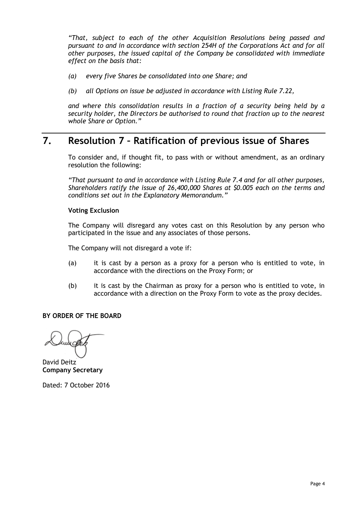*"That, subject to each of the other Acquisition Resolutions being passed and pursuant to and in accordance with section 254H of the Corporations Act and for all other purposes, the issued capital of the Company be consolidated with immediate effect on the basis that:*

- *(a) every five Shares be consolidated into one Share; and*
- *(b) all Options on issue be adjusted in accordance with Listing Rule 7.22,*

*and where this consolidation results in a fraction of a security being held by a security holder, the Directors be authorised to round that fraction up to the nearest whole Share or Option."*

# **7. Resolution 7 – Ratification of previous issue of Shares**

To consider and, if thought fit, to pass with or without amendment, as an ordinary resolution the following:

*"That pursuant to and in accordance with Listing Rule 7.4 and for all other purposes, Shareholders ratify the issue of 26,400,000 Shares at \$0.005 each on the terms and conditions set out in the Explanatory Memorandum."*

#### **Voting Exclusion**

The Company will disregard any votes cast on this Resolution by any person who participated in the issue and any associates of those persons.

The Company will not disregard a vote if:

- (a) it is cast by a person as a proxy for a person who is entitled to vote, in accordance with the directions on the Proxy Form; or
- (b) it is cast by the Chairman as proxy for a person who is entitled to vote, in accordance with a direction on the Proxy Form to vote as the proxy decides.

**BY ORDER OF THE BOARD**

David Deitz **Company Secretary**

Dated: 7 October 2016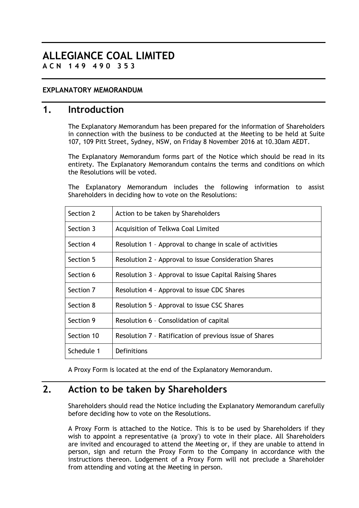# **ALLEGIANCE COAL LIMITED A C N 1 4 9 4 9 0 3 5 3**

### **EXPLANATORY MEMORANDUM**

### **1. Introduction**

The Explanatory Memorandum has been prepared for the information of Shareholders in connection with the business to be conducted at the Meeting to be held at Suite 107, 109 Pitt Street, Sydney, NSW, on Friday 8 November 2016 at 10.30am AEDT.

The Explanatory Memorandum forms part of the Notice which should be read in its entirety. The Explanatory Memorandum contains the terms and conditions on which the Resolutions will be voted.

The Explanatory Memorandum includes the following information to assist Shareholders in deciding how to vote on the Resolutions:

| Section 2  | Action to be taken by Shareholders                       |
|------------|----------------------------------------------------------|
| Section 3  | Acquisition of Telkwa Coal Limited                       |
| Section 4  | Resolution 1 - Approval to change in scale of activities |
| Section 5  | Resolution 2 - Approval to issue Consideration Shares    |
| Section 6  | Resolution 3 - Approval to issue Capital Raising Shares  |
| Section 7  | Resolution 4 - Approval to issue CDC Shares              |
| Section 8  | Resolution 5 - Approval to issue CSC Shares              |
| Section 9  | Resolution 6 - Consolidation of capital                  |
| Section 10 | Resolution 7 - Ratification of previous issue of Shares  |
| Schedule 1 | Definitions                                              |

A Proxy Form is located at the end of the Explanatory Memorandum.

# **2. Action to be taken by Shareholders**

Shareholders should read the Notice including the Explanatory Memorandum carefully before deciding how to vote on the Resolutions.

A Proxy Form is attached to the Notice. This is to be used by Shareholders if they wish to appoint a representative (a 'proxy') to vote in their place. All Shareholders are invited and encouraged to attend the Meeting or, if they are unable to attend in person, sign and return the Proxy Form to the Company in accordance with the instructions thereon. Lodgement of a Proxy Form will not preclude a Shareholder from attending and voting at the Meeting in person.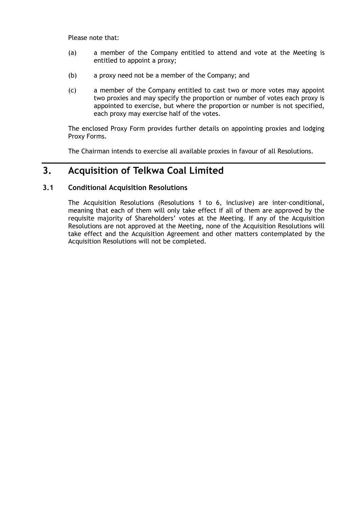Please note that:

- (a) a member of the Company entitled to attend and vote at the Meeting is entitled to appoint a proxy;
- (b) a proxy need not be a member of the Company; and
- (c) a member of the Company entitled to cast two or more votes may appoint two proxies and may specify the proportion or number of votes each proxy is appointed to exercise, but where the proportion or number is not specified, each proxy may exercise half of the votes.

The enclosed Proxy Form provides further details on appointing proxies and lodging Proxy Forms.

The Chairman intends to exercise all available proxies in favour of all Resolutions.

# **3. Acquisition of Telkwa Coal Limited**

#### **3.1 Conditional Acquisition Resolutions**

The Acquisition Resolutions (Resolutions 1 to 6, inclusive) are inter-conditional, meaning that each of them will only take effect if all of them are approved by the requisite majority of Shareholders' votes at the Meeting. If any of the Acquisition Resolutions are not approved at the Meeting, none of the Acquisition Resolutions will take effect and the Acquisition Agreement and other matters contemplated by the Acquisition Resolutions will not be completed.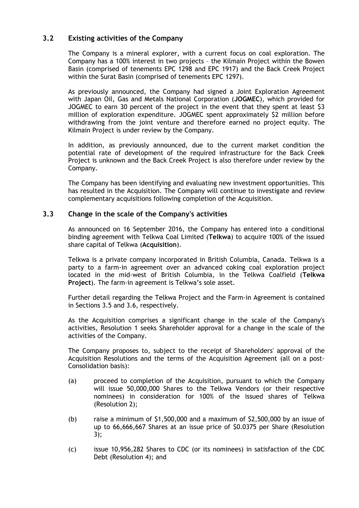### **3.2 Existing activities of the Company**

The Company is a mineral explorer, with a current focus on coal exploration. The Company has a 100% interest in two projects – the Kilmain Project within the Bowen Basin (comprised of tenements EPC 1298 and EPC 1917) and the Back Creek Project within the Surat Basin (comprised of tenements EPC 1297).

As previously announced, the Company had signed a Joint Exploration Agreement with Japan Oil, Gas and Metals National Corporation (**JOGMEC**), which provided for JOGMEC to earn 30 percent of the project in the event that they spent at least \$3 million of exploration expenditure. JOGMEC spent approximately \$2 million before withdrawing from the joint venture and therefore earned no project equity. The Kilmain Project is under review by the Company.

In addition, as previously announced, due to the current market condition the potential rate of development of the required infrastructure for the Back Creek Project is unknown and the Back Creek Project is also therefore under review by the Company.

The Company has been identifying and evaluating new investment opportunities. This has resulted in the Acquisition. The Company will continue to investigate and review complementary acquisitions following completion of the Acquisition.

#### **3.3 Change in the scale of the Company's activities**

As announced on 16 September 2016, the Company has entered into a conditional binding agreement with Telkwa Coal Limited (**Telkwa**) to acquire 100% of the issued share capital of Telkwa (**Acquisition**).

Telkwa is a private company incorporated in British Columbia, Canada. Telkwa is a party to a farm-in agreement over an advanced coking coal exploration project located in the mid-west of British Columbia, in the Telkwa Coalfield (**Telkwa Project**). The farm-in agreement is Telkwa's sole asset.

Further detail regarding the Telkwa Project and the Farm-in Agreement is contained in Sections [3.5](#page-8-0) and [3.6,](#page-11-0) respectively.

As the Acquisition comprises a significant change in the scale of the Company's activities, Resolution 1 seeks Shareholder approval for a change in the scale of the activities of the Company.

The Company proposes to, subject to the receipt of Shareholders' approval of the Acquisition Resolutions and the terms of the Acquisition Agreement (all on a post-Consolidation basis):

- (a) proceed to completion of the Acquisition, pursuant to which the Company will issue 50,000,000 Shares to the Telkwa Vendors (or their respective nominees) in consideration for 100% of the issued shares of Telkwa (Resolution 2);
- (b) raise a minimum of \$1,500,000 and a maximum of \$2,500,000 by an issue of up to 66,666,667 Shares at an issue price of \$0.0375 per Share (Resolution 3);
- (c) issue 10,956,282 Shares to CDC (or its nominees) in satisfaction of the CDC Debt (Resolution 4); and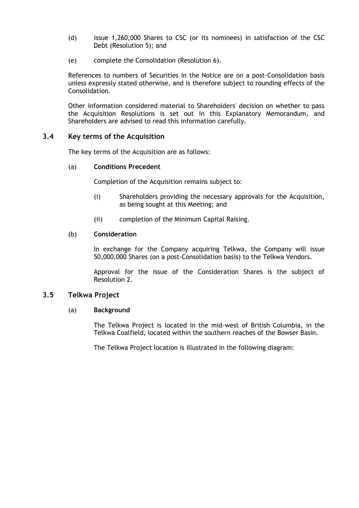- (d) issue 1,260,000 Shares to CSC (or its nominees) in satisfaction of the CSC Debt (Resolution 5); and
- (e) complete the Consolidation (Resolution 6).

References to numbers of Securities in the Notice are on a post-Consolidation basis unless expressly stated otherwise, and is therefore subject to rounding effects of the Consolidation.

Other information considered material to Shareholders' decision on whether to pass the Acquisition Resolutions is set out in this Explanatory Memorandum, and Shareholders are advised to read this information carefully.

#### <span id="page-8-1"></span>**3.4 Key terms of the Acquisition**

The key terms of the Acquisition are as follows:

#### (a) **Conditions Precedent**

Completion of the Acquisition remains subject to:

- (i) Shareholders providing the necessary approvals for the Acquisition, as being sought at this Meeting; and
- (ii) completion of the Minimum Capital Raising.

#### (b) **Consideration**

In exchange for the Company acquiring Telkwa, the Company will issue 50,000,000 Shares (on a post-Consolidation basis) to the Telkwa Vendors.

Approval for the issue of the Consideration Shares is the subject of Resolution 2.

#### <span id="page-8-0"></span>**3.5 Telkwa Project**

#### (a) **Background**

The Telkwa Project is located in the mid-west of British Columbia, in the Telkwa Coalfield, located within the southern reaches of the Bowser Basin.

The Telkwa Project location is illustrated in the following diagram: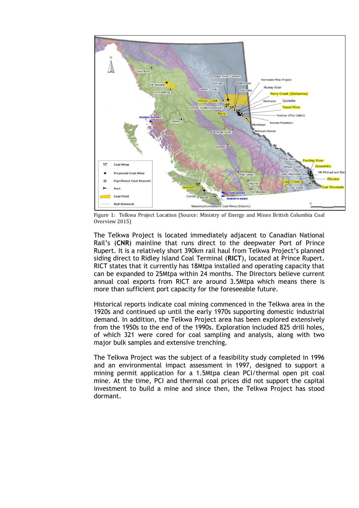

Figure 1: Telkwa Project Location (Source: Ministry of Energy and Mines British Columbia Coal Overview 2015)

The Telkwa Project is located immediately adjacent to Canadian National Rail's (**CNR**) mainline that runs direct to the deepwater Port of Prince Rupert. It is a relatively short 390km rail haul from Telkwa Project's planned siding direct to Ridley Island Coal Terminal (**RICT**), located at Prince Rupert. RICT states that it currently has 18Mtpa installed and operating capacity that can be expanded to 25Mtpa within 24 months. The Directors believe current annual coal exports from RICT are around 3.5Mtpa which means there is more than sufficient port capacity for the foreseeable future.

Historical reports indicate coal mining commenced in the Telkwa area in the 1920s and continued up until the early 1970s supporting domestic industrial demand. In addition, the Telkwa Project area has been explored extensively from the 1950s to the end of the 1990s. Exploration included 825 drill holes, of which 321 were cored for coal sampling and analysis, along with two major bulk samples and extensive trenching.

The Telkwa Project was the subject of a feasibility study completed in 1996 and an environmental impact assessment in 1997, designed to support a mining permit application for a 1.5Mtpa clean PCI/thermal open pit coal mine. At the time, PCI and thermal coal prices did not support the capital investment to build a mine and since then, the Telkwa Project has stood dormant.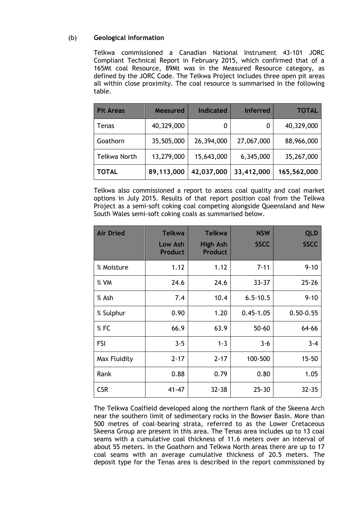#### (b) **Geological information**

Telkwa commissioned a Canadian National Instrument 43-101 JORC Compliant Technical Report in February 2015, which confirmed that of a 165Mt coal Resource, 89Mt was in the Measured Resource category, as defined by the JORC Code. The Telkwa Project includes three open pit areas all within close proximity. The coal resource is summarised in the following table.

| <b>Pit Areas</b>    | <b>Measured</b> | <b>Indicated</b> | <b>Inferred</b> | <b>TOTAL</b> |
|---------------------|-----------------|------------------|-----------------|--------------|
| Tenas               | 40,329,000      |                  |                 | 40,329,000   |
| Goathorn            | 35,505,000      | 26,394,000       | 27,067,000      | 88,966,000   |
| <b>Telkwa North</b> | 13,279,000      | 15,643,000       | 6,345,000       | 35,267,000   |
| <b>TOTAL</b>        | 89,113,000      | 42,037,000       | 33,412,000      | 165,562,000  |

Telkwa also commissioned a report to assess coal quality and coal market options in July 2015. Results of that report position coal from the Telkwa Project as a semi-soft coking coal competing alongside Queensland and New South Wales semi-soft coking coals as summarised below.

| <b>Air Dried</b> | <b>Telkwa</b><br>Low Ash<br><b>Product</b> | <b>Telkwa</b><br><b>High Ash</b><br><b>Product</b> | <b>NSW</b><br><b>SSCC</b> | <b>QLD</b><br><b>SSCC</b> |
|------------------|--------------------------------------------|----------------------------------------------------|---------------------------|---------------------------|
| % Moisture       | 1.12                                       | 1.12                                               | $7 - 11$                  | $9 - 10$                  |
| % VM             | 24.6                                       | 24.6                                               | $33 - 37$                 | $25 - 26$                 |
| % Ash            | 7.4                                        | 10.4                                               | $6.5 - 10.5$              | $9 - 10$                  |
| % Sulphur        | 0.90                                       | 1.20                                               | $0.45 - 1.05$             | $0.50 - 0.55$             |
| %FC              | 66.9                                       | 63.9                                               | $50 - 60$                 | 64-66                     |
| <b>FSI</b>       | $3 - 5$                                    | $1 - 3$                                            | $3 - 6$                   | $3 - 4$                   |
| Max Fluidity     | $2 - 17$                                   | $2 - 17$                                           | 100-500                   | $15 - 50$                 |
| Rank             | 0.88                                       | 0.79                                               | 0.80                      | 1.05                      |
| <b>CSR</b>       | $41 - 47$                                  | $32 - 38$                                          | $25 - 30$                 | $32 - 35$                 |

The Telkwa Coalfield developed along the northern flank of the Skeena Arch near the southern limit of sedimentary rocks in the Bowser Basin. More than 500 metres of coal-bearing strata, referred to as the Lower Cretaceous Skeena Group are present in this area. The Tenas area includes up to 13 coal seams with a cumulative coal thickness of 11.6 meters over an interval of about 55 meters. In the Goathorn and Telkwa North areas there are up to 17 coal seams with an average cumulative thickness of 20.5 meters. The deposit type for the Tenas area is described in the report commissioned by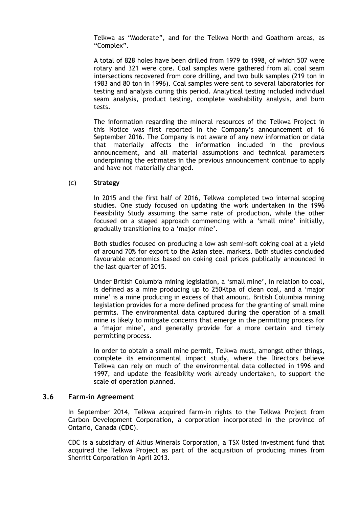Telkwa as "Moderate", and for the Telkwa North and Goathorn areas, as "Complex".

A total of 828 holes have been drilled from 1979 to 1998, of which 507 were rotary and 321 were core. Coal samples were gathered from all coal seam intersections recovered from core drilling, and two bulk samples (219 ton in 1983 and 80 ton in 1996). Coal samples were sent to several laboratories for testing and analysis during this period. Analytical testing included individual seam analysis, product testing, complete washability analysis, and burn tests.

The information regarding the mineral resources of the Telkwa Project in this Notice was first reported in the Company's announcement of 16 September 2016. The Company is not aware of any new information or data that materially affects the information included in the previous announcement, and all material assumptions and technical parameters underpinning the estimates in the previous announcement continue to apply and have not materially changed.

#### (c) **Strategy**

In 2015 and the first half of 2016, Telkwa completed two internal scoping studies. One study focused on updating the work undertaken in the 1996 Feasibility Study assuming the same rate of production, while the other focused on a staged approach commencing with a 'small mine' initially, gradually transitioning to a 'major mine'.

Both studies focused on producing a low ash semi-soft coking coal at a yield of around 70% for export to the Asian steel markets. Both studies concluded favourable economics based on coking coal prices publically announced in the last quarter of 2015.

Under British Columbia mining legislation, a 'small mine', in relation to coal, is defined as a mine producing up to 250Ktpa of clean coal, and a 'major mine' is a mine producing in excess of that amount. British Columbia mining legislation provides for a more defined process for the granting of small mine permits. The environmental data captured during the operation of a small mine is likely to mitigate concerns that emerge in the permitting process for a 'major mine', and generally provide for a more certain and timely permitting process.

In order to obtain a small mine permit, Telkwa must, amongst other things, complete its environmental impact study, where the Directors believe Telkwa can rely on much of the environmental data collected in 1996 and 1997, and update the feasibility work already undertaken, to support the scale of operation planned.

#### <span id="page-11-0"></span>**3.6 Farm-in Agreement**

In September 2014, Telkwa acquired farm-in rights to the Telkwa Project from Carbon Development Corporation, a corporation incorporated in the province of Ontario, Canada (**CDC**).

CDC is a subsidiary of Altius Minerals Corporation, a TSX listed investment fund that acquired the Telkwa Project as part of the acquisition of producing mines from Sherritt Corporation in April 2013.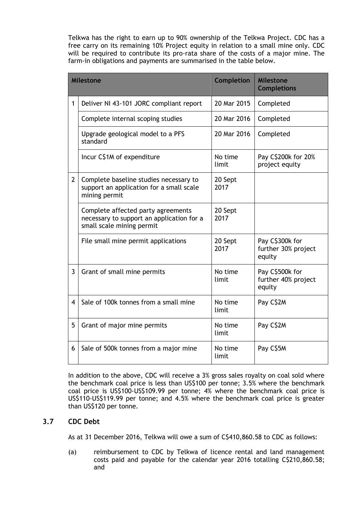Telkwa has the right to earn up to 90% ownership of the Telkwa Project. CDC has a free carry on its remaining 10% Project equity in relation to a small mine only. CDC will be required to contribute its pro-rata share of the costs of a major mine. The farm-in obligations and payments are summarised in the table below.

|                | Milestone                                                                                                    | <b>Completion</b> | <b>Milestone</b><br><b>Completions</b>           |
|----------------|--------------------------------------------------------------------------------------------------------------|-------------------|--------------------------------------------------|
| 1              | Deliver NI 43-101 JORC compliant report                                                                      | 20 Mar 2015       | Completed                                        |
|                | Complete internal scoping studies                                                                            | 20 Mar 2016       | Completed                                        |
|                | Upgrade geological model to a PFS<br>standard                                                                | 20 Mar 2016       | Completed                                        |
|                | Incur C\$1M of expenditure                                                                                   | No time<br>limit  | Pay C\$200k for 20%<br>project equity            |
| $\overline{2}$ | Complete baseline studies necessary to<br>support an application for a small scale<br>mining permit          | 20 Sept<br>2017   |                                                  |
|                | Complete affected party agreements<br>necessary to support an application for a<br>small scale mining permit | 20 Sept<br>2017   |                                                  |
|                | File small mine permit applications                                                                          | 20 Sept<br>2017   | Pay C\$300k for<br>further 30% project<br>equity |
| 3              | Grant of small mine permits                                                                                  | No time<br>limit  | Pay C\$500k for<br>further 40% project<br>equity |
| 4              | Sale of 100k tonnes from a small mine                                                                        | No time<br>limit  | Pay C\$2M                                        |
| 5              | Grant of major mine permits                                                                                  | No time<br>limit  | Pay C\$2M                                        |
| 6              | Sale of 500k tonnes from a major mine                                                                        | No time<br>limit  | Pay C\$5M                                        |

In addition to the above, CDC will receive a 3% gross sales royalty on coal sold where the benchmark coal price is less than US\$100 per tonne; 3.5% where the benchmark coal price is US\$100-US\$109.99 per tonne; 4% where the benchmark coal price is US\$110-US\$119.99 per tonne; and 4.5% where the benchmark coal price is greater than US\$120 per tonne.

### <span id="page-12-0"></span>**3.7 CDC Debt**

As at 31 December 2016, Telkwa will owe a sum of C\$410,860.58 to CDC as follows:

(a) reimbursement to CDC by Telkwa of licence rental and land management costs paid and payable for the calendar year 2016 totalling C\$210,860.58; and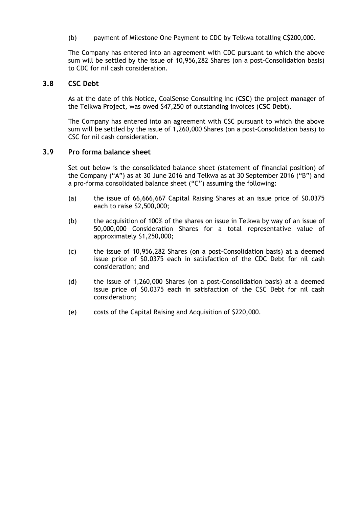(b) payment of Milestone One Payment to CDC by Telkwa totalling C\$200,000.

The Company has entered into an agreement with CDC pursuant to which the above sum will be settled by the issue of 10,956,282 Shares (on a post-Consolidation basis) to CDC for nil cash consideration.

#### <span id="page-13-0"></span>**3.8 CSC Debt**

As at the date of this Notice, CoalSense Consulting Inc (**CSC**) the project manager of the Telkwa Project, was owed \$47,250 of outstanding invoices (**CSC Debt**).

The Company has entered into an agreement with CSC pursuant to which the above sum will be settled by the issue of 1,260,000 Shares (on a post-Consolidation basis) to CSC for nil cash consideration.

#### **3.9 Pro forma balance sheet**

Set out below is the consolidated balance sheet (statement of financial position) of the Company ("A") as at 30 June 2016 and Telkwa as at 30 September 2016 ("B") and a pro-forma consolidated balance sheet ("C") assuming the following:

- (a) the issue of 66,666,667 Capital Raising Shares at an issue price of \$0.0375 each to raise \$2,500,000;
- (b) the acquisition of 100% of the shares on issue in Telkwa by way of an issue of 50,000,000 Consideration Shares for a total representative value of approximately \$1,250,000;
- (c) the issue of 10,956,282 Shares (on a post-Consolidation basis) at a deemed issue price of \$0.0375 each in satisfaction of the CDC Debt for nil cash consideration; and
- (d) the issue of 1,260,000 Shares (on a post-Consolidation basis) at a deemed issue price of \$0.0375 each in satisfaction of the CSC Debt for nil cash consideration;
- (e) costs of the Capital Raising and Acquisition of \$220,000.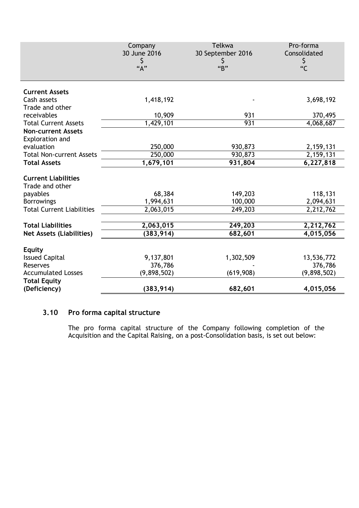|                                               | Company<br>30 June 2016<br>\$<br>``A" | Telkwa<br>30 September 2016<br>Ş<br>"B" | Pro-forma<br>Consolidated<br>\$<br>C |
|-----------------------------------------------|---------------------------------------|-----------------------------------------|--------------------------------------|
| <b>Current Assets</b>                         |                                       |                                         |                                      |
| Cash assets<br>Trade and other                | 1,418,192                             |                                         | 3,698,192                            |
| receivables                                   | 10,909                                | 931                                     | 370,495                              |
| <b>Total Current Assets</b>                   | 1,429,101                             | 931                                     | 4,068,687                            |
| <b>Non-current Assets</b><br>Exploration and  |                                       |                                         |                                      |
| evaluation                                    | 250,000                               | 930,873                                 | 2,159,131                            |
| <b>Total Non-current Assets</b>               | 250,000                               | 930,873                                 | 2, 159, 131                          |
| <b>Total Assets</b>                           | 1,679,101                             | 931,804                                 | 6,227,818                            |
| <b>Current Liabilities</b><br>Trade and other |                                       |                                         |                                      |
| payables                                      | 68,384                                | 149,203                                 | 118,131                              |
| <b>Borrowings</b>                             | 1,994,631                             | 100,000                                 | 2,094,631                            |
| <b>Total Current Liabilities</b>              | 2,063,015                             | 249,203                                 | 2,212,762                            |
| <b>Total Liabilities</b>                      |                                       |                                         |                                      |
| <b>Net Assets (Liabilities)</b>               | 2,063,015<br>(383, 914)               | 249,203<br>682,601                      | 2,212,762<br>4,015,056               |
|                                               |                                       |                                         |                                      |
| <b>Equity</b>                                 |                                       |                                         |                                      |
| <b>Issued Capital</b>                         | 9,137,801                             | 1,302,509                               | 13,536,772                           |
| <b>Reserves</b>                               | 376,786                               |                                         | 376,786                              |
| <b>Accumulated Losses</b>                     | (9,898,502)                           | (619,908)                               | (9,898,502)                          |
| <b>Total Equity</b><br>(Deficiency)           | (383, 914)                            | 682,601                                 | 4,015,056                            |

### **3.10 Pro forma capital structure**

The pro forma capital structure of the Company following completion of the Acquisition and the Capital Raising, on a post-Consolidation basis, is set out below: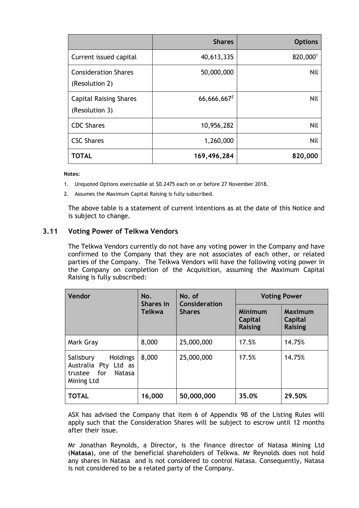|                                                 | <b>Shares</b>  | <b>Options</b> |
|-------------------------------------------------|----------------|----------------|
| Current issued capital                          | 40,613,335     | 820,0001       |
| <b>Consideration Shares</b><br>(Resolution 2)   | 50,000,000     | <b>Nil</b>     |
| <b>Capital Raising Shares</b><br>(Resolution 3) | $66,666,667^2$ | <b>Nil</b>     |
| <b>CDC Shares</b>                               | 10,956,282     | Nil            |
| <b>CSC Shares</b>                               | 1,260,000      | <b>Nil</b>     |
| <b>TOTAL</b>                                    | 169,496,284    | 820,000        |

#### **Notes:**

- 1. Unquoted Options exercisable at \$0.2475 each on or before 27 November 2018.
- 2. Assumes the Maximum Capital Raising is fully subscribed.

The above table is a statement of current intentions as at the date of this Notice and is subject to change.

#### **3.11 Voting Power of Telkwa Vendors**

The Telkwa Vendors currently do not have any voting power in the Company and have confirmed to the Company that they are not associates of each other, or related parties of the Company. The Telkwa Vendors will have the following voting power in the Company on completion of the Acquisition, assuming the Maximum Capital Raising is fully subscribed:

| <b>Vendor</b>                                                                               | No.<br>Shares in | No. of<br>Consideration | <b>Voting Power</b>                  |                                                    |  |
|---------------------------------------------------------------------------------------------|------------------|-------------------------|--------------------------------------|----------------------------------------------------|--|
|                                                                                             | <b>Telkwa</b>    | <b>Shares</b>           | Minimum<br>Capital<br><b>Raising</b> | <b>Maximum</b><br><b>Capital</b><br><b>Raising</b> |  |
| Mark Gray                                                                                   | 8,000            | 25,000,000              | 17.5%                                | 14.75%                                             |  |
| <b>Holdings</b><br>Salisbury<br>Australia Pty Ltd as<br>trustee for<br>Natasa<br>Mining Ltd | 8,000            | 25,000,000              | 17.5%                                | 14.75%                                             |  |
| <b>TOTAL</b>                                                                                | 16,000           | 50,000,000              | 35.0%                                | 29.50%                                             |  |

ASX has advised the Company that item 6 of Appendix 9B of the Listing Rules will apply such that the Consideration Shares will be subject to escrow until 12 months after their issue.

Mr Jonathan Reynolds, a Director, is the finance director of Natasa Mining Ltd (**Natasa**), one of the beneficial shareholders of Telkwa. Mr Reynolds does not hold any shares in Natasa and is not considered to control Natasa. Consequently, Natasa is not considered to be a related party of the Company.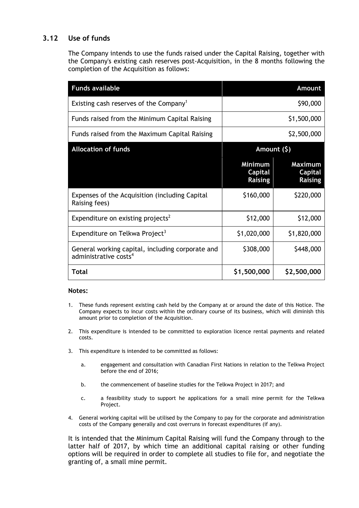### **3.12 Use of funds**

The Company intends to use the funds raised under the Capital Raising, together with the Company's existing cash reserves post-Acquisition, in the 8 months following the completion of the Acquisition as follows:

| <b>Funds available</b>                                                                |                                             | Amount                                      |
|---------------------------------------------------------------------------------------|---------------------------------------------|---------------------------------------------|
| Existing cash reserves of the Company <sup>1</sup>                                    |                                             | \$90,000                                    |
| Funds raised from the Minimum Capital Raising                                         |                                             | \$1,500,000                                 |
| Funds raised from the Maximum Capital Raising                                         |                                             | \$2,500,000                                 |
| <b>Allocation of funds</b>                                                            | Amount (\$)                                 |                                             |
|                                                                                       | Minimum<br><b>Capital</b><br><b>Raising</b> | <b>Maximum</b><br>Capital<br><b>Raising</b> |
| Expenses of the Acquisition (including Capital<br>Raising fees)                       | \$160,000                                   | \$220,000                                   |
| Expenditure on existing projects <sup>2</sup>                                         | \$12,000                                    | \$12,000                                    |
| Expenditure on Telkwa Project <sup>3</sup>                                            | \$1,020,000                                 | \$1,820,000                                 |
| General working capital, including corporate and<br>administrative costs <sup>4</sup> | \$308,000                                   | \$448,000                                   |
| <b>Total</b>                                                                          | \$1,500,000                                 | \$2,500,000                                 |

#### **Notes:**

- 1. These funds represent existing cash held by the Company at or around the date of this Notice. The Company expects to incur costs within the ordinary course of its business, which will diminish this amount prior to completion of the Acquisition.
- 2. This expenditure is intended to be committed to exploration licence rental payments and related costs.
- 3. This expenditure is intended to be committed as follows:
	- a. engagement and consultation with Canadian First Nations in relation to the Telkwa Project before the end of 2016;
	- b. the commencement of baseline studies for the Telkwa Project in 2017; and
	- c. a feasibility study to support he applications for a small mine permit for the Telkwa Project.
- 4. General working capital will be utilised by the Company to pay for the corporate and administration costs of the Company generally and cost overruns in forecast expenditures (if any).

It is intended that the Minimum Capital Raising will fund the Company through to the latter half of 2017, by which time an additional capital raising or other funding options will be required in order to complete all studies to file for, and negotiate the granting of, a small mine permit.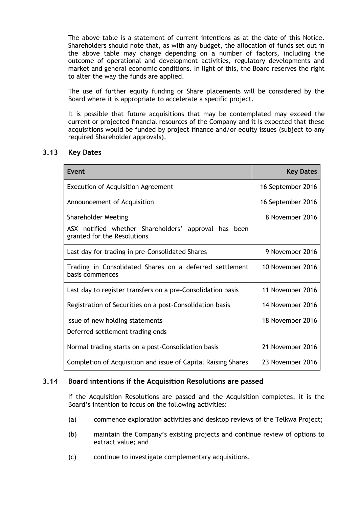The above table is a statement of current intentions as at the date of this Notice. Shareholders should note that, as with any budget, the allocation of funds set out in the above table may change depending on a number of factors, including the outcome of operational and development activities, regulatory developments and market and general economic conditions. In light of this, the Board reserves the right to alter the way the funds are applied.

The use of further equity funding or Share placements will be considered by the Board where it is appropriate to accelerate a specific project.

It is possible that future acquisitions that may be contemplated may exceed the current or projected financial resources of the Company and it is expected that these acquisitions would be funded by project finance and/or equity issues (subject to any required Shareholder approvals).

#### <span id="page-17-0"></span>**3.13 Key Dates**

| Event                                                                                                             | <b>Key Dates</b>  |
|-------------------------------------------------------------------------------------------------------------------|-------------------|
| <b>Execution of Acquisition Agreement</b>                                                                         | 16 September 2016 |
| Announcement of Acquisition                                                                                       | 16 September 2016 |
| <b>Shareholder Meeting</b><br>ASX notified whether Shareholders' approval has been<br>granted for the Resolutions | 8 November 2016   |
| Last day for trading in pre-Consolidated Shares                                                                   | 9 November 2016   |
| Trading in Consolidated Shares on a deferred settlement<br>basis commences                                        | 10 November 2016  |
| Last day to register transfers on a pre-Consolidation basis                                                       | 11 November 2016  |
| Registration of Securities on a post-Consolidation basis                                                          | 14 November 2016  |
| Issue of new holding statements<br>Deferred settlement trading ends                                               | 18 November 2016  |
| Normal trading starts on a post-Consolidation basis                                                               | 21 November 2016  |
| Completion of Acquisition and issue of Capital Raising Shares                                                     | 23 November 2016  |

### **3.14 Board intentions if the Acquisition Resolutions are passed**

If the Acquisition Resolutions are passed and the Acquisition completes, it is the Board's intention to focus on the following activities:

- (a) commence exploration activities and desktop reviews of the Telkwa Project;
- (b) maintain the Company's existing projects and continue review of options to extract value; and
- (c) continue to investigate complementary acquisitions.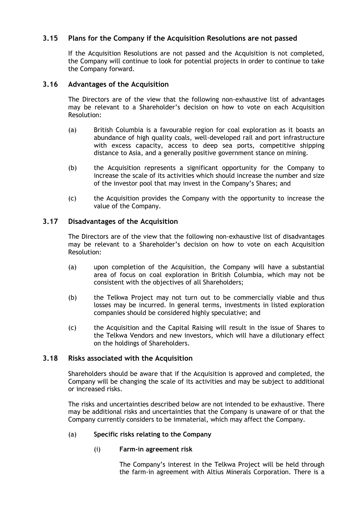### **3.15 Plans for the Company if the Acquisition Resolutions are not passed**

If the Acquisition Resolutions are not passed and the Acquisition is not completed, the Company will continue to look for potential projects in order to continue to take the Company forward.

#### **3.16 Advantages of the Acquisition**

The Directors are of the view that the following non-exhaustive list of advantages may be relevant to a Shareholder's decision on how to vote on each Acquisition Resolution:

- (a) British Columbia is a favourable region for coal exploration as it boasts an abundance of high quality coals, well-developed rail and port infrastructure with excess capacity, access to deep sea ports, competitive shipping distance to Asia, and a generally positive government stance on mining.
- (b) the Acquisition represents a significant opportunity for the Company to increase the scale of its activities which should increase the number and size of the investor pool that may invest in the Company's Shares; and
- (c) the Acquisition provides the Company with the opportunity to increase the value of the Company.

#### **3.17 Disadvantages of the Acquisition**

The Directors are of the view that the following non-exhaustive list of disadvantages may be relevant to a Shareholder's decision on how to vote on each Acquisition Resolution:

- (a) upon completion of the Acquisition, the Company will have a substantial area of focus on coal exploration in British Columbia, which may not be consistent with the objectives of all Shareholders;
- (b) the Telkwa Project may not turn out to be commercially viable and thus losses may be incurred. In general terms, investments in listed exploration companies should be considered highly speculative; and
- (c) the Acquisition and the Capital Raising will result in the issue of Shares to the Telkwa Vendors and new investors, which will have a dilutionary effect on the holdings of Shareholders.

#### **3.18 Risks associated with the Acquisition**

Shareholders should be aware that if the Acquisition is approved and completed, the Company will be changing the scale of its activities and may be subject to additional or increased risks.

The risks and uncertainties described below are not intended to be exhaustive. There may be additional risks and uncertainties that the Company is unaware of or that the Company currently considers to be immaterial, which may affect the Company.

#### (a) **Specific risks relating to the Company**

(i) **Farm-in agreement risk**

The Company's interest in the Telkwa Project will be held through the farm-in agreement with Altius Minerals Corporation. There is a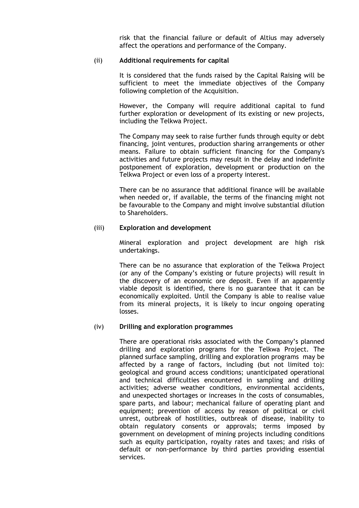risk that the financial failure or default of Altius may adversely affect the operations and performance of the Company.

#### (ii) **Additional requirements for capital**

It is considered that the funds raised by the Capital Raising will be sufficient to meet the immediate objectives of the Company following completion of the Acquisition.

However, the Company will require additional capital to fund further exploration or development of its existing or new projects, including the Telkwa Project.

The Company may seek to raise further funds through equity or debt financing, joint ventures, production sharing arrangements or other means. Failure to obtain sufficient financing for the Company's activities and future projects may result in the delay and indefinite postponement of exploration, development or production on the Telkwa Project or even loss of a property interest.

There can be no assurance that additional finance will be available when needed or, if available, the terms of the financing might not be favourable to the Company and might involve substantial dilution to Shareholders.

#### (iii) **Exploration and development**

Mineral exploration and project development are high risk undertakings.

There can be no assurance that exploration of the Telkwa Project (or any of the Company's existing or future projects) will result in the discovery of an economic ore deposit. Even if an apparently viable deposit is identified, there is no guarantee that it can be economically exploited. Until the Company is able to realise value from its mineral projects, it is likely to incur ongoing operating losses.

#### (iv) **Drilling and exploration programmes**

There are operational risks associated with the Company's planned drilling and exploration programs for the Telkwa Project. The planned surface sampling, drilling and exploration programs may be affected by a range of factors, including (but not limited to): geological and ground access conditions; unanticipated operational and technical difficulties encountered in sampling and drilling activities; adverse weather conditions, environmental accidents, and unexpected shortages or increases in the costs of consumables, spare parts, and labour; mechanical failure of operating plant and equipment; prevention of access by reason of political or civil unrest, outbreak of hostilities, outbreak of disease, inability to obtain regulatory consents or approvals; terms imposed by government on development of mining projects including conditions such as equity participation, royalty rates and taxes; and risks of default or non-performance by third parties providing essential services.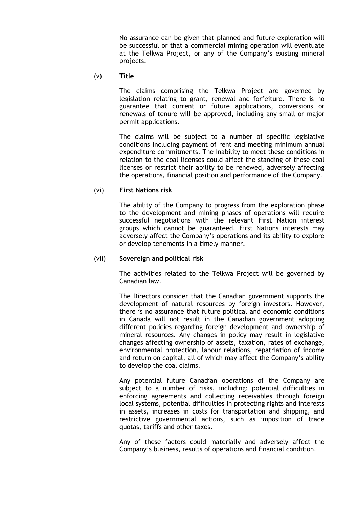No assurance can be given that planned and future exploration will be successful or that a commercial mining operation will eventuate at the Telkwa Project, or any of the Company's existing mineral projects.

(v) **Title** 

The claims comprising the Telkwa Project are governed by legislation relating to grant, renewal and forfeiture. There is no guarantee that current or future applications, conversions or renewals of tenure will be approved, including any small or major permit applications.

The claims will be subject to a number of specific legislative conditions including payment of rent and meeting minimum annual expenditure commitments. The inability to meet these conditions in relation to the coal licenses could affect the standing of these coal licenses or restrict their ability to be renewed, adversely affecting the operations, financial position and performance of the Company.

#### (vi) **First Nations risk**

The ability of the Company to progress from the exploration phase to the development and mining phases of operations will require successful negotiations with the relevant First Nation interest groups which cannot be guaranteed. First Nations interests may adversely affect the Company's operations and its ability to explore or develop tenements in a timely manner.

#### (vii) **Sovereign and political risk**

The activities related to the Telkwa Project will be governed by Canadian law.

The Directors consider that the Canadian government supports the development of natural resources by foreign investors. However, there is no assurance that future political and economic conditions in Canada will not result in the Canadian government adopting different policies regarding foreign development and ownership of mineral resources. Any changes in policy may result in legislative changes affecting ownership of assets, taxation, rates of exchange, environmental protection, labour relations, repatriation of income and return on capital, all of which may affect the Company's ability to develop the coal claims.

Any potential future Canadian operations of the Company are subject to a number of risks, including: potential difficulties in enforcing agreements and collecting receivables through foreign local systems, potential difficulties in protecting rights and interests in assets, increases in costs for transportation and shipping, and restrictive governmental actions, such as imposition of trade quotas, tariffs and other taxes.

Any of these factors could materially and adversely affect the Company's business, results of operations and financial condition.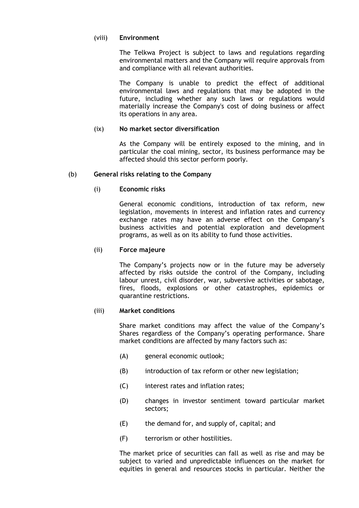#### (viii) **Environment**

The Telkwa Project is subject to laws and regulations regarding environmental matters and the Company will require approvals from and compliance with all relevant authorities.

The Company is unable to predict the effect of additional environmental laws and regulations that may be adopted in the future, including whether any such laws or regulations would materially increase the Company's cost of doing business or affect its operations in any area.

#### (ix) **No market sector diversification**

As the Company will be entirely exposed to the mining, and in particular the coal mining, sector, its business performance may be affected should this sector perform poorly.

#### (b) **General risks relating to the Company**

#### (i) **Economic risks**

General economic conditions, introduction of tax reform, new legislation, movements in interest and inflation rates and currency exchange rates may have an adverse effect on the Company's business activities and potential exploration and development programs, as well as on its ability to fund those activities.

#### (ii) **Force majeure**

The Company's projects now or in the future may be adversely affected by risks outside the control of the Company, including labour unrest, civil disorder, war, subversive activities or sabotage, fires, floods, explosions or other catastrophes, epidemics or quarantine restrictions.

#### (iii) **Market conditions**

Share market conditions may affect the value of the Company's Shares regardless of the Company's operating performance. Share market conditions are affected by many factors such as:

- (A) general economic outlook;
- (B) introduction of tax reform or other new legislation;
- (C) interest rates and inflation rates;
- (D) changes in investor sentiment toward particular market sectors;
- (E) the demand for, and supply of, capital; and
- (F) terrorism or other hostilities.

The market price of securities can fall as well as rise and may be subject to varied and unpredictable influences on the market for equities in general and resources stocks in particular. Neither the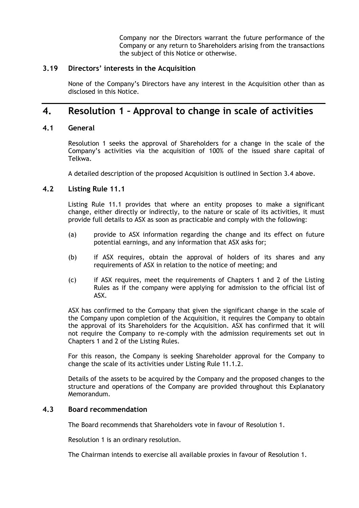Company nor the Directors warrant the future performance of the Company or any return to Shareholders arising from the transactions the subject of this Notice or otherwise.

#### **3.19 Directors' interests in the Acquisition**

None of the Company's Directors have any interest in the Acquisition other than as disclosed in this Notice.

# **4. Resolution 1 – Approval to change in scale of activities**

#### **4.1 General**

Resolution 1 seeks the approval of Shareholders for a change in the scale of the Company's activities via the acquisition of 100% of the issued share capital of Telkwa.

A detailed description of the proposed Acquisition is outlined in Section [3.4](#page-8-1) above.

#### **4.2 Listing Rule 11.1**

Listing Rule 11.1 provides that where an entity proposes to make a significant change, either directly or indirectly, to the nature or scale of its activities, it must provide full details to ASX as soon as practicable and comply with the following:

- (a) provide to ASX information regarding the change and its effect on future potential earnings, and any information that ASX asks for;
- (b) if ASX requires, obtain the approval of holders of its shares and any requirements of ASX in relation to the notice of meeting; and
- (c) if ASX requires, meet the requirements of Chapters 1 and 2 of the Listing Rules as if the company were applying for admission to the official list of ASX.

ASX has confirmed to the Company that given the significant change in the scale of the Company upon completion of the Acquisition, it requires the Company to obtain the approval of its Shareholders for the Acquisition. ASX has confirmed that it will not require the Company to re-comply with the admission requirements set out in Chapters 1 and 2 of the Listing Rules.

For this reason, the Company is seeking Shareholder approval for the Company to change the scale of its activities under Listing Rule 11.1.2.

Details of the assets to be acquired by the Company and the proposed changes to the structure and operations of the Company are provided throughout this Explanatory Memorandum.

#### **4.3 Board recommendation**

The Board recommends that Shareholders vote in favour of Resolution 1.

Resolution 1 is an ordinary resolution.

The Chairman intends to exercise all available proxies in favour of Resolution 1.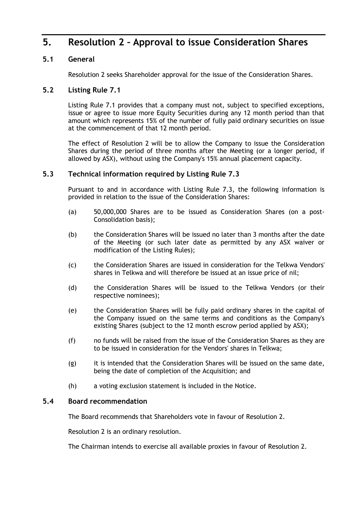# **5. Resolution 2 – Approval to issue Consideration Shares**

### **5.1 General**

Resolution 2 seeks Shareholder approval for the issue of the Consideration Shares.

### <span id="page-23-0"></span>**5.2 Listing Rule 7.1**

Listing Rule 7.1 provides that a company must not, subject to specified exceptions, issue or agree to issue more Equity Securities during any 12 month period than that amount which represents 15% of the number of fully paid ordinary securities on issue at the commencement of that 12 month period.

The effect of Resolution 2 will be to allow the Company to issue the Consideration Shares during the period of three months after the Meeting (or a longer period, if allowed by ASX), without using the Company's 15% annual placement capacity.

#### **5.3 Technical information required by Listing Rule 7.3**

Pursuant to and in accordance with Listing Rule 7.3, the following information is provided in relation to the issue of the Consideration Shares:

- (a) 50,000,000 Shares are to be issued as Consideration Shares (on a post-Consolidation basis);
- (b) the Consideration Shares will be issued no later than 3 months after the date of the Meeting (or such later date as permitted by any ASX waiver or modification of the Listing Rules);
- (c) the Consideration Shares are issued in consideration for the Telkwa Vendors' shares in Telkwa and will therefore be issued at an issue price of nil;
- (d) the Consideration Shares will be issued to the Telkwa Vendors (or their respective nominees);
- (e) the Consideration Shares will be fully paid ordinary shares in the capital of the Company issued on the same terms and conditions as the Company's existing Shares (subject to the 12 month escrow period applied by ASX);
- (f) no funds will be raised from the issue of the Consideration Shares as they are to be issued in consideration for the Vendors' shares in Telkwa;
- (g) it is intended that the Consideration Shares will be issued on the same date, being the date of completion of the Acquisition; and
- (h) a voting exclusion statement is included in the Notice.

#### **5.4 Board recommendation**

The Board recommends that Shareholders vote in favour of Resolution 2.

Resolution 2 is an ordinary resolution.

The Chairman intends to exercise all available proxies in favour of Resolution 2.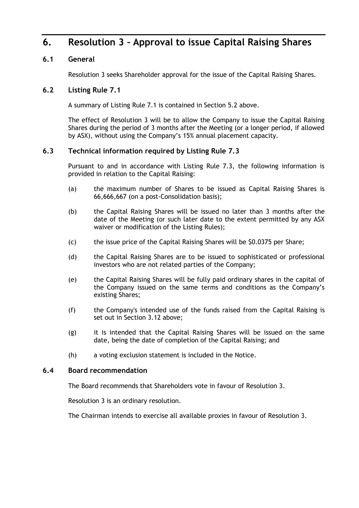# **6. Resolution 3 – Approval to issue Capital Raising Shares**

### **6.1 General**

Resolution 3 seeks Shareholder approval for the issue of the Capital Raising Shares.

### **6.2 Listing Rule 7.1**

A summary of Listing Rule 7.1 is contained in Section [5.2](#page-23-0) above.

The effect of Resolution 3 will be to allow the Company to issue the Capital Raising Shares during the period of 3 months after the Meeting (or a longer period, if allowed by ASX), without using the Company's 15% annual placement capacity.

### **6.3 Technical information required by Listing Rule 7.3**

Pursuant to and in accordance with Listing Rule 7.3, the following information is provided in relation to the Capital Raising:

- (a) the maximum number of Shares to be issued as Capital Raising Shares is 66,666,667 (on a post-Consolidation basis);
- (b) the Capital Raising Shares will be issued no later than 3 months after the date of the Meeting (or such later date to the extent permitted by any ASX waiver or modification of the Listing Rules);
- (c) the issue price of the Capital Raising Shares will be \$0.0375 per Share;
- (d) the Capital Raising Shares are to be issued to sophisticated or professional investors who are not related parties of the Company;
- (e) the Capital Raising Shares will be fully paid ordinary shares in the capital of the Company issued on the same terms and conditions as the Company's existing Shares;
- (f) the Company's intended use of the funds raised from the Capital Raising is set out in Section 3.12 above;
- (g) it is intended that the Capital Raising Shares will be issued on the same date, being the date of completion of the Capital Raising; and
- (h) a voting exclusion statement is included in the Notice.

#### **6.4 Board recommendation**

The Board recommends that Shareholders vote in favour of Resolution 3.

Resolution 3 is an ordinary resolution.

The Chairman intends to exercise all available proxies in favour of Resolution 3.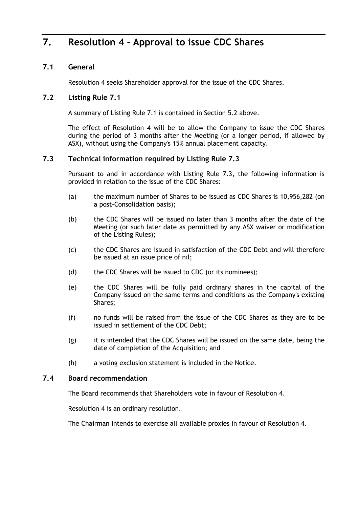# **7. Resolution 4 – Approval to issue CDC Shares**

### **7.1 General**

Resolution 4 seeks Shareholder approval for the issue of the CDC Shares.

### **7.2 Listing Rule 7.1**

A summary of Listing Rule 7.1 is contained in Section [5.2](#page-23-0) above.

The effect of Resolution 4 will be to allow the Company to issue the CDC Shares during the period of 3 months after the Meeting (or a longer period, if allowed by ASX), without using the Company's 15% annual placement capacity.

### **7.3 Technical information required by Listing Rule 7.3**

Pursuant to and in accordance with Listing Rule 7.3, the following information is provided in relation to the issue of the CDC Shares:

- (a) the maximum number of Shares to be issued as CDC Shares is 10,956,282 (on a post-Consolidation basis);
- (b) the CDC Shares will be issued no later than 3 months after the date of the Meeting (or such later date as permitted by any ASX waiver or modification of the Listing Rules);
- (c) the CDC Shares are issued in satisfaction of the CDC Debt and will therefore be issued at an issue price of nil;
- (d) the CDC Shares will be issued to CDC (or its nominees);
- (e) the CDC Shares will be fully paid ordinary shares in the capital of the Company issued on the same terms and conditions as the Company's existing Shares;
- (f) no funds will be raised from the issue of the CDC Shares as they are to be issued in settlement of the CDC Debt;
- (g) it is intended that the CDC Shares will be issued on the same date, being the date of completion of the Acquisition; and
- (h) a voting exclusion statement is included in the Notice.

#### **7.4 Board recommendation**

The Board recommends that Shareholders vote in favour of Resolution 4.

Resolution 4 is an ordinary resolution.

The Chairman intends to exercise all available proxies in favour of Resolution 4.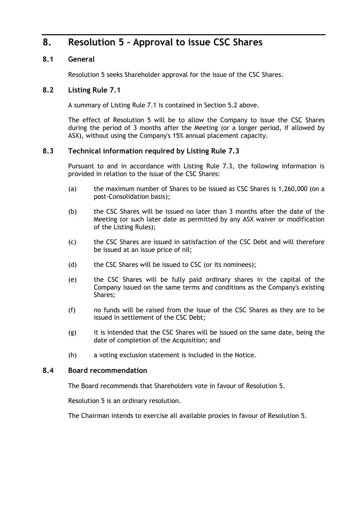# **8. Resolution 5 – Approval to issue CSC Shares**

### **8.1 General**

Resolution 5 seeks Shareholder approval for the issue of the CSC Shares.

### **8.2 Listing Rule 7.1**

A summary of Listing Rule 7.1 is contained in Section [5.2](#page-23-0) above.

The effect of Resolution 5 will be to allow the Company to issue the CSC Shares during the period of 3 months after the Meeting (or a longer period, if allowed by ASX), without using the Company's 15% annual placement capacity.

### **8.3 Technical information required by Listing Rule 7.3**

Pursuant to and in accordance with Listing Rule 7.3, the following information is provided in relation to the issue of the CSC Shares:

- (a) the maximum number of Shares to be issued as CSC Shares is 1,260,000 (on a post-Consolidation basis);
- (b) the CSC Shares will be issued no later than 3 months after the date of the Meeting (or such later date as permitted by any ASX waiver or modification of the Listing Rules);
- (c) the CSC Shares are issued in satisfaction of the CSC Debt and will therefore be issued at an issue price of nil;
- (d) the CSC Shares will be issued to CSC (or its nominees);
- (e) the CSC Shares will be fully paid ordinary shares in the capital of the Company issued on the same terms and conditions as the Company's existing Shares;
- (f) no funds will be raised from the issue of the CSC Shares as they are to be issued in settlement of the CSC Debt;
- (g) it is intended that the CSC Shares will be issued on the same date, being the date of completion of the Acquisition; and
- (h) a voting exclusion statement is included in the Notice.

#### **8.4 Board recommendation**

The Board recommends that Shareholders vote in favour of Resolution 5.

Resolution 5 is an ordinary resolution.

The Chairman intends to exercise all available proxies in favour of Resolution 5.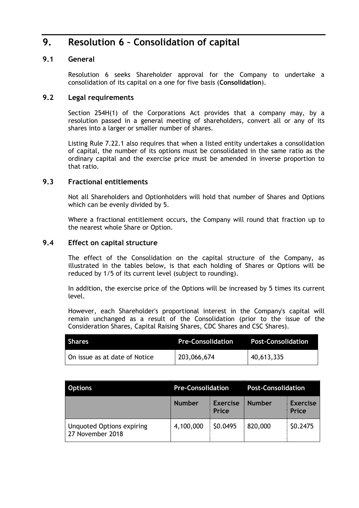# **9. Resolution 6 – Consolidation of capital**

### **9.1 General**

Resolution 6 seeks Shareholder approval for the Company to undertake a consolidation of its capital on a one for five basis (**Consolidation**).

### **9.2 Legal requirements**

Section 254H(1) of the Corporations Act provides that a company may, by a resolution passed in a general meeting of shareholders, convert all or any of its shares into a larger or smaller number of shares.

Listing Rule 7.22.1 also requires that when a listed entity undertakes a consolidation of capital, the number of its options must be consolidated in the same ratio as the ordinary capital and the exercise price must be amended in inverse proportion to that ratio.

#### **9.3 Fractional entitlements**

Not all Shareholders and Optionholders will hold that number of Shares and Options which can be evenly divided by 5.

Where a fractional entitlement occurs, the Company will round that fraction up to the nearest whole Share or Option.

#### **9.4 Effect on capital structure**

The effect of the Consolidation on the capital structure of the Company, as illustrated in the tables below, is that each holding of Shares or Options will be reduced by 1/5 of its current level (subject to rounding).

In addition, the exercise price of the Options will be increased by 5 times its current level.

However, each Shareholder's proportional interest in the Company's capital will remain unchanged as a result of the Consolidation (prior to the issue of the Consideration Shares, Capital Raising Shares, CDC Shares and CSC Shares).

| <b>Shares</b>                 | <b>Pre-Consolidation</b> | <b>Post-Consolidation</b> |
|-------------------------------|--------------------------|---------------------------|
| On issue as at date of Notice | 203,066,674              | 140,613,335               |

| <b>Options</b>                                       | <b>Pre-Consolidation</b> |                          | <b>Post-Consolidation</b> |                          |
|------------------------------------------------------|--------------------------|--------------------------|---------------------------|--------------------------|
|                                                      | <b>Number</b>            | <b>Exercise</b><br>Price | <b>Number</b>             | <b>Exercise</b><br>Price |
| <b>Unquoted Options expiring</b><br>27 November 2018 | 4,100,000                | \$0.0495                 | 820,000                   | \$0.2475                 |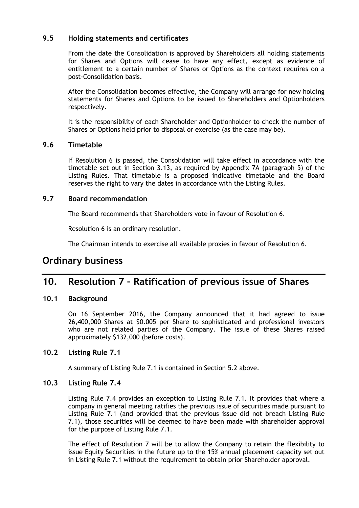### **9.5 Holding statements and certificates**

From the date the Consolidation is approved by Shareholders all holding statements for Shares and Options will cease to have any effect, except as evidence of entitlement to a certain number of Shares or Options as the context requires on a post-Consolidation basis.

After the Consolidation becomes effective, the Company will arrange for new holding statements for Shares and Options to be issued to Shareholders and Optionholders respectively.

It is the responsibility of each Shareholder and Optionholder to check the number of Shares or Options held prior to disposal or exercise (as the case may be).

#### **9.6 Timetable**

If Resolution 6 is passed, the Consolidation will take effect in accordance with the timetable set out in Section [3.13,](#page-17-0) as required by Appendix 7A (paragraph 5) of the Listing Rules. That timetable is a proposed indicative timetable and the Board reserves the right to vary the dates in accordance with the Listing Rules.

#### **9.7 Board recommendation**

The Board recommends that Shareholders vote in favour of Resolution 6.

Resolution 6 is an ordinary resolution.

The Chairman intends to exercise all available proxies in favour of Resolution 6.

### **Ordinary business**

# **10. Resolution 7 – Ratification of previous issue of Shares**

#### **10.1 Background**

On 16 September 2016, the Company announced that it had agreed to issue 26,400,000 Shares at \$0.005 per Share to sophisticated and professional investors who are not related parties of the Company. The issue of these Shares raised approximately \$132,000 (before costs).

#### **10.2 Listing Rule 7.1**

A summary of Listing Rule 7.1 is contained in Section [5.2](#page-23-0) above.

#### **10.3 Listing Rule 7.4**

Listing Rule 7.4 provides an exception to Listing Rule 7.1. It provides that where a company in general meeting ratifies the previous issue of securities made pursuant to Listing Rule 7.1 (and provided that the previous issue did not breach Listing Rule 7.1), those securities will be deemed to have been made with shareholder approval for the purpose of Listing Rule 7.1.

The effect of Resolution 7 will be to allow the Company to retain the flexibility to issue Equity Securities in the future up to the 15% annual placement capacity set out in Listing Rule 7.1 without the requirement to obtain prior Shareholder approval.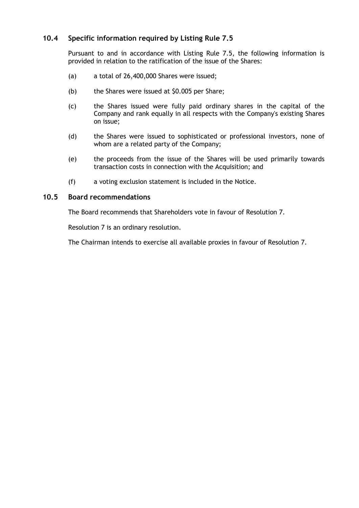### **10.4 Specific information required by Listing Rule 7.5**

Pursuant to and in accordance with Listing Rule 7.5, the following information is provided in relation to the ratification of the issue of the Shares:

- (a) a total of 26,400,000 Shares were issued;
- (b) the Shares were issued at \$0.005 per Share;
- (c) the Shares issued were fully paid ordinary shares in the capital of the Company and rank equally in all respects with the Company's existing Shares on issue;
- (d) the Shares were issued to sophisticated or professional investors, none of whom are a related party of the Company;
- (e) the proceeds from the issue of the Shares will be used primarily towards transaction costs in connection with the Acquisition; and
- (f) a voting exclusion statement is included in the Notice.

#### **10.5 Board recommendations**

The Board recommends that Shareholders vote in favour of Resolution 7.

Resolution 7 is an ordinary resolution.

The Chairman intends to exercise all available proxies in favour of Resolution 7.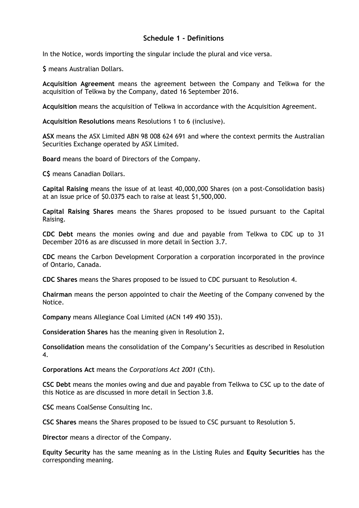### **Schedule 1 - Definitions**

<span id="page-30-0"></span>In the Notice, words importing the singular include the plural and vice versa.

**\$** means Australian Dollars.

**Acquisition Agreement** means the agreement between the Company and Telkwa for the acquisition of Telkwa by the Company, dated 16 September 2016.

**Acquisition** means the acquisition of Telkwa in accordance with the Acquisition Agreement.

**Acquisition Resolutions** means Resolutions 1 to 6 (inclusive).

**ASX** means the ASX Limited ABN 98 008 624 691 and where the context permits the Australian Securities Exchange operated by ASX Limited.

**Board** means the board of Directors of the Company.

**C\$** means Canadian Dollars.

**Capital Raising** means the issue of at least 40,000,000 Shares (on a post-Consolidation basis) at an issue price of \$0.0375 each to raise at least \$1,500,000.

**Capital Raising Shares** means the Shares proposed to be issued pursuant to the Capital Raising.

**CDC Debt** means the monies owing and due and payable from Telkwa to CDC up to 31 December 2016 as are discussed in more detail in Section [3.7.](#page-12-0)

**CDC** means the Carbon Development Corporation a corporation incorporated in the province of Ontario, Canada.

**CDC Shares** means the Shares proposed to be issued to CDC pursuant to Resolution 4.

**Chairman** means the person appointed to chair the Meeting of the Company convened by the Notice.

**Company** means Allegiance Coal Limited (ACN 149 490 353).

**Consideration Shares** has the meaning given in Resolution 2**.**

**Consolidation** means the consolidation of the Company's Securities as described in Resolution 4.

**Corporations Act** means the *Corporations Act 2001* (Cth).

**CSC Debt** means the monies owing and due and payable from Telkwa to CSC up to the date of this Notice as are discussed in more detail in Section [3.8.](#page-13-0)

**CSC** means CoalSense Consulting Inc.

**CSC Shares** means the Shares proposed to be issued to CSC pursuant to Resolution 5.

**Director** means a director of the Company.

**Equity Security** has the same meaning as in the Listing Rules and **Equity Securities** has the corresponding meaning.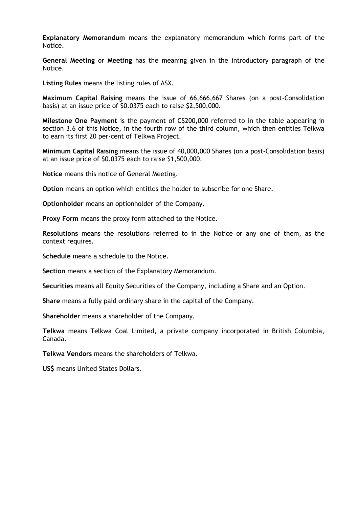**Explanatory Memorandum** means the explanatory memorandum which forms part of the Notice.

**General Meeting** or **Meeting** has the meaning given in the introductory paragraph of the Notice.

**Listing Rules** means the listing rules of ASX.

**Maximum Capital Raising** means the issue of 66,666,667 Shares (on a post-Consolidation basis) at an issue price of \$0.0375 each to raise \$2,500,000.

**Milestone One Payment** is the payment of C\$200,000 referred to in the table appearing in section 3.6 of this Notice, in the fourth row of the third column, which then entitles Telkwa to earn its first 20 per-cent of Telkwa Project.

**Minimum Capital Raising** means the issue of 40,000,000 Shares (on a post-Consolidation basis) at an issue price of \$0.0375 each to raise \$1,500,000.

**Notice** means this notice of General Meeting.

**Option** means an option which entitles the holder to subscribe for one Share.

**Optionholder** means an optionholder of the Company.

**Proxy Form** means the proxy form attached to the Notice.

**Resolutions** means the resolutions referred to in the Notice or any one of them, as the context requires.

**Schedule** means a schedule to the Notice.

**Section** means a section of the Explanatory Memorandum.

**Securities** means all Equity Securities of the Company, including a Share and an Option.

**Share** means a fully paid ordinary share in the capital of the Company.

**Shareholder** means a shareholder of the Company.

**Telkwa** means Telkwa Coal Limited, a private company incorporated in British Columbia, Canada.

**Telkwa Vendors** means the shareholders of Telkwa.

**US\$** means United States Dollars.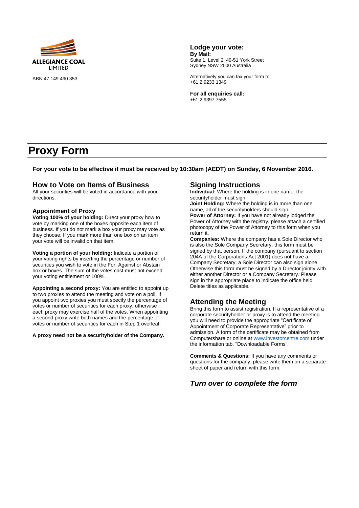

ABN 47 149 490 353

**Lodge your vote: By Mail:** Suite 1, Level 2, 49-51 York Street Sydney NSW 2000 Australia

Alternatively you can fax your form to: +61 2 9233 1349

**For all enquiries call:** +61 2 9397 7555

# **Proxy Form**

**For your vote to be effective it must be received by 10:30am (AEDT) on Sunday, 6 November 2016.**

#### **How to Vote on Items of Business**

All your securities will be voted in accordance with your directions.

#### **Appointment of Proxy**

**Voting 100% of your holding:** Direct your proxy how to vote by marking one of the boxes opposite each item of business. If you do not mark a box your proxy may vote as they choose. If you mark more than one box on an item your vote will be invalid on that item.

**Voting a portion of your holding:** Indicate a portion of your voting rights by inserting the percentage or number of securities you wish to vote in the For. Against or Abstain box or boxes. The sum of the votes cast must not exceed your voting entitlement or 100%.

**Appointing a second proxy:** You are entitled to appoint up to two proxies to attend the meeting and vote on a poll. If you appoint two proxies you must specify the percentage of votes or number of securities for each proxy, otherwise each proxy may exercise half of the votes. When appointing a second proxy write both names and the percentage of votes or number of securities for each in Step 1 overleaf.

#### **A proxy need not be a securityholder of the Company.**

#### **Signing Instructions**

**Individual:** Where the holding is in one name, the securityholder must sign.

**Joint Holding:** Where the holding is in more than one name, all of the securityholders should sign. **Power of Attorney:** If you have not already lodged the

Power of Attorney with the registry, please attach a certified photocopy of the Power of Attorney to this form when you return it.

**Companies:** Where the company has a Sole Director who is also the Sole Company Secretary, this form must be signed by that person. If the company (pursuant to section 204A of the Corporations Act 2001) does not have a Company Secretary, a Sole Director can also sign alone. Otherwise this form must be signed by a Director jointly with either another Director or a Company Secretary. Please sign in the appropriate place to indicate the office held. Delete titles as applicable.

#### **Attending the Meeting**

Bring this form to assist registration. If a representative of a corporate securityholder or proxy is to attend the meeting you will need to provide the appropriate "Certificate of Appointment of Corporate Representative" prior to admission. A form of the certificate may be obtained from Computershare or online a[t www.investorcentre.com](http://www.investorcentre.com/) under the information tab, "Downloadable Forms".

**Comments & Questions:** If you have any comments or questions for the company, please write them on a separate sheet of paper and return with this form.

#### *Turn over to complete the form*